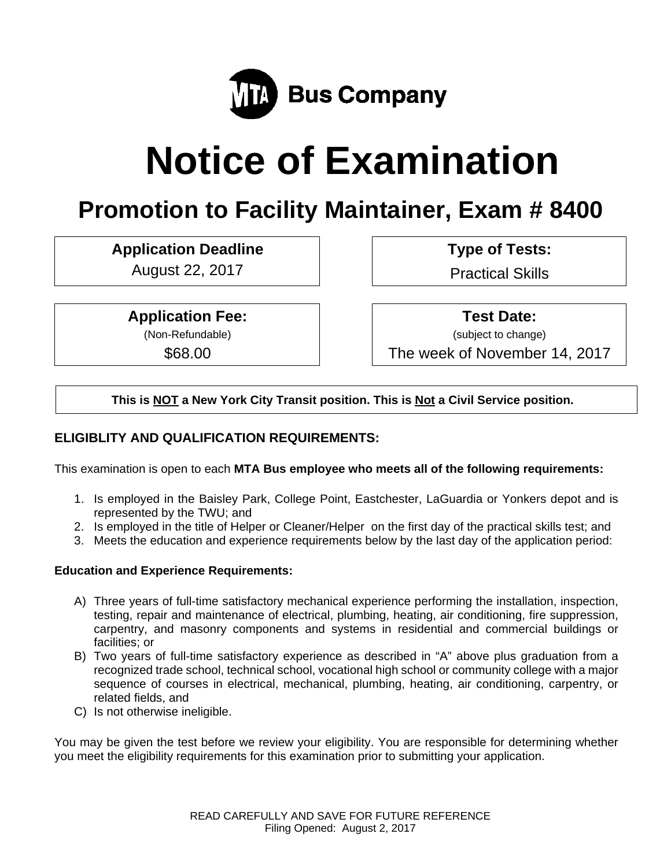

# **Notice of Examination**

# **Promotion to Facility Maintainer, Exam # 8400**

# Application Deadline **Type of Tests:**

August 22, 2017 | Practical Skills

**Application Fee:** 

(Non-Refundable)

\$68.00

 **Test Date:**

(subject to change)

The week of November 14, 2017

**This is NOT a New York City Transit position. This is Not a Civil Service position.** 

# **ELIGIBLITY AND QUALIFICATION REQUIREMENTS:**

This examination is open to each **MTA Bus employee who meets all of the following requirements:**

- 1. Is employed in the Baisley Park, College Point, Eastchester, LaGuardia or Yonkers depot and is represented by the TWU; and
- 2. Is employed in the title of Helper or Cleaner/Helper on the first day of the practical skills test; and
- 3. Meets the education and experience requirements below by the last day of the application period:

# **Education and Experience Requirements:**

- A) Three years of full-time satisfactory mechanical experience performing the installation, inspection, testing, repair and maintenance of electrical, plumbing, heating, air conditioning, fire suppression, carpentry, and masonry components and systems in residential and commercial buildings or facilities; or
- B) Two years of full-time satisfactory experience as described in "A" above plus graduation from a recognized trade school, technical school, vocational high school or community college with a major sequence of courses in electrical, mechanical, plumbing, heating, air conditioning, carpentry, or related fields, and
- C) Is not otherwise ineligible.

You may be given the test before we review your eligibility. You are responsible for determining whether you meet the eligibility requirements for this examination prior to submitting your application.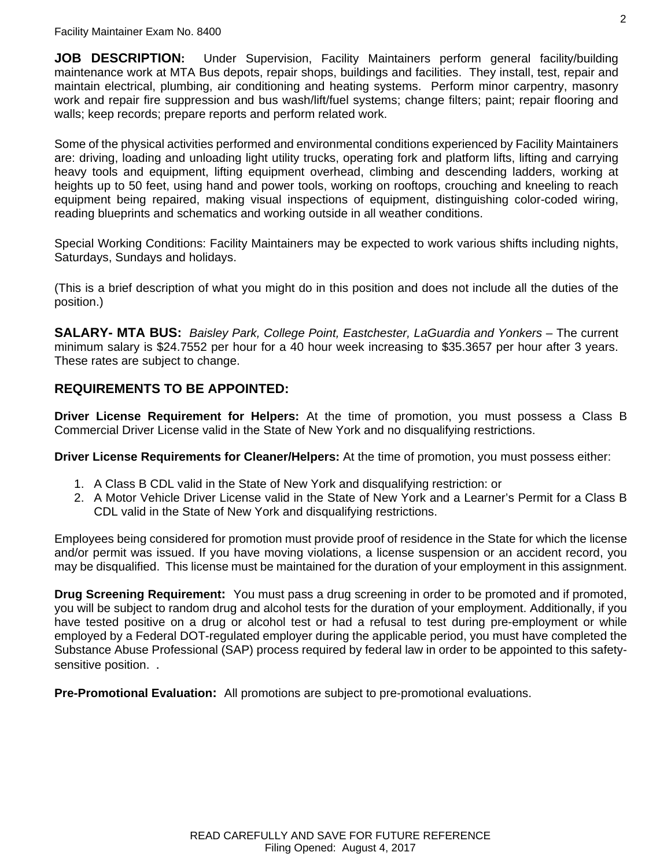**JOB DESCRIPTION:** Under Supervision, Facility Maintainers perform general facility/building maintenance work at MTA Bus depots, repair shops, buildings and facilities. They install, test, repair and maintain electrical, plumbing, air conditioning and heating systems. Perform minor carpentry, masonry work and repair fire suppression and bus wash/lift/fuel systems; change filters; paint; repair flooring and walls; keep records; prepare reports and perform related work.

Some of the physical activities performed and environmental conditions experienced by Facility Maintainers are: driving, loading and unloading light utility trucks, operating fork and platform lifts, lifting and carrying heavy tools and equipment, lifting equipment overhead, climbing and descending ladders, working at heights up to 50 feet, using hand and power tools, working on rooftops, crouching and kneeling to reach equipment being repaired, making visual inspections of equipment, distinguishing color-coded wiring, reading blueprints and schematics and working outside in all weather conditions.

Special Working Conditions: Facility Maintainers may be expected to work various shifts including nights, Saturdays, Sundays and holidays.

(This is a brief description of what you might do in this position and does not include all the duties of the position.)

**SALARY- MTA BUS:** *Baisley Park, College Point, Eastchester, LaGuardia and Yonkers* – The current minimum salary is \$24.7552 per hour for a 40 hour week increasing to \$35.3657 per hour after 3 years. These rates are subject to change.

# **REQUIREMENTS TO BE APPOINTED:**

**Driver License Requirement for Helpers:** At the time of promotion, you must possess a Class B Commercial Driver License valid in the State of New York and no disqualifying restrictions.

**Driver License Requirements for Cleaner/Helpers:** At the time of promotion, you must possess either:

- 1. A Class B CDL valid in the State of New York and disqualifying restriction: or
- 2. A Motor Vehicle Driver License valid in the State of New York and a Learner's Permit for a Class B CDL valid in the State of New York and disqualifying restrictions.

Employees being considered for promotion must provide proof of residence in the State for which the license and/or permit was issued. If you have moving violations, a license suspension or an accident record, you may be disqualified. This license must be maintained for the duration of your employment in this assignment.

**Drug Screening Requirement:** You must pass a drug screening in order to be promoted and if promoted, you will be subject to random drug and alcohol tests for the duration of your employment. Additionally, if you have tested positive on a drug or alcohol test or had a refusal to test during pre-employment or while employed by a Federal DOT-regulated employer during the applicable period, you must have completed the Substance Abuse Professional (SAP) process required by federal law in order to be appointed to this safetysensitive position...

**Pre-Promotional Evaluation:** All promotions are subject to pre-promotional evaluations.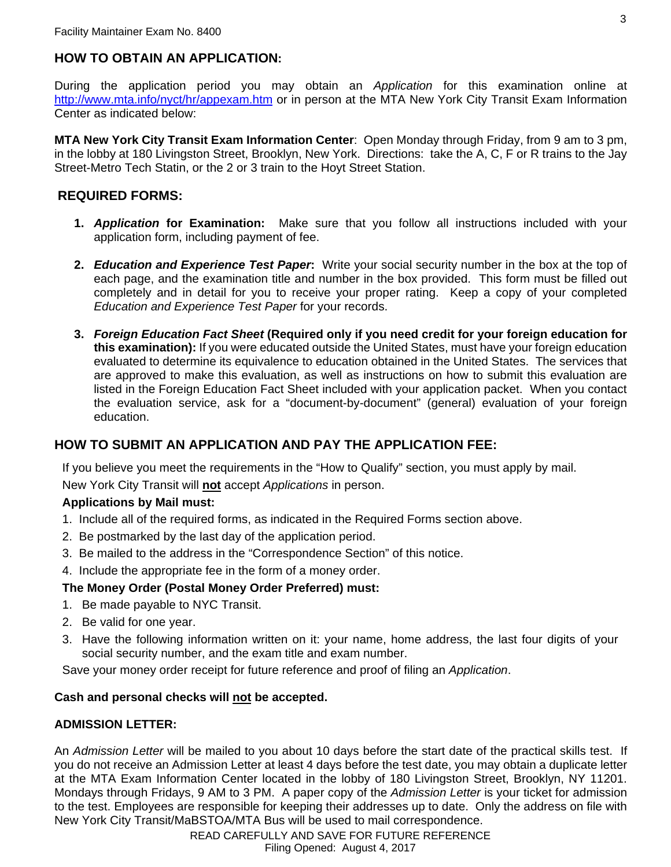# **HOW TO OBTAIN AN APPLICATION:**

During the application period you may obtain an *Application* for this examination online at http://www.mta.info/nyct/hr/appexam.htm or in person at the MTA New York City Transit Exam Information Center as indicated below:

**MTA New York City Transit Exam Information Center**: Open Monday through Friday, from 9 am to 3 pm, in the lobby at 180 Livingston Street, Brooklyn, New York. Directions: take the A, C, F or R trains to the Jay Street-Metro Tech Statin, or the 2 or 3 train to the Hoyt Street Station.

# **REQUIRED FORMS:**

- **1.** *Application* **for Examination:** Make sure that you follow all instructions included with your application form, including payment of fee.
- **2.** *Education and Experience Test Paper***:** Write your social security number in the box at the top of each page, and the examination title and number in the box provided. This form must be filled out completely and in detail for you to receive your proper rating. Keep a copy of your completed *Education and Experience Test Paper* for your records.
- **3.** *Foreign Education Fact Sheet* **(Required only if you need credit for your foreign education for this examination):** If you were educated outside the United States, must have your foreign education evaluated to determine its equivalence to education obtained in the United States. The services that are approved to make this evaluation, as well as instructions on how to submit this evaluation are listed in the Foreign Education Fact Sheet included with your application packet. When you contact the evaluation service, ask for a "document-by-document" (general) evaluation of your foreign education.

# **HOW TO SUBMIT AN APPLICATION AND PAY THE APPLICATION FEE:**

If you believe you meet the requirements in the "How to Qualify" section, you must apply by mail.

New York City Transit will **not** accept *Applications* in person.

#### **Applications by Mail must:**

- 1. Include all of the required forms, as indicated in the Required Forms section above.
- 2. Be postmarked by the last day of the application period.
- 3. Be mailed to the address in the "Correspondence Section" of this notice.
- 4. Include the appropriate fee in the form of a money order.

#### **The Money Order (Postal Money Order Preferred) must:**

- 1. Be made payable to NYC Transit.
- 2. Be valid for one year.
- 3. Have the following information written on it: your name, home address, the last four digits of your social security number, and the exam title and exam number.

Save your money order receipt for future reference and proof of filing an *Application*.

#### **Cash and personal checks will not be accepted.**

#### **ADMISSION LETTER:**

An *Admission Letter* will be mailed to you about 10 days before the start date of the practical skills test. If you do not receive an Admission Letter at least 4 days before the test date, you may obtain a duplicate letter at the MTA Exam Information Center located in the lobby of 180 Livingston Street, Brooklyn, NY 11201. Mondays through Fridays, 9 AM to 3 PM. A paper copy of the *Admission Letter* is your ticket for admission to the test. Employees are responsible for keeping their addresses up to date. Only the address on file with New York City Transit/MaBSTOA/MTA Bus will be used to mail correspondence.

> READ CAREFULLY AND SAVE FOR FUTURE REFERENCE Filing Opened: August 4, 2017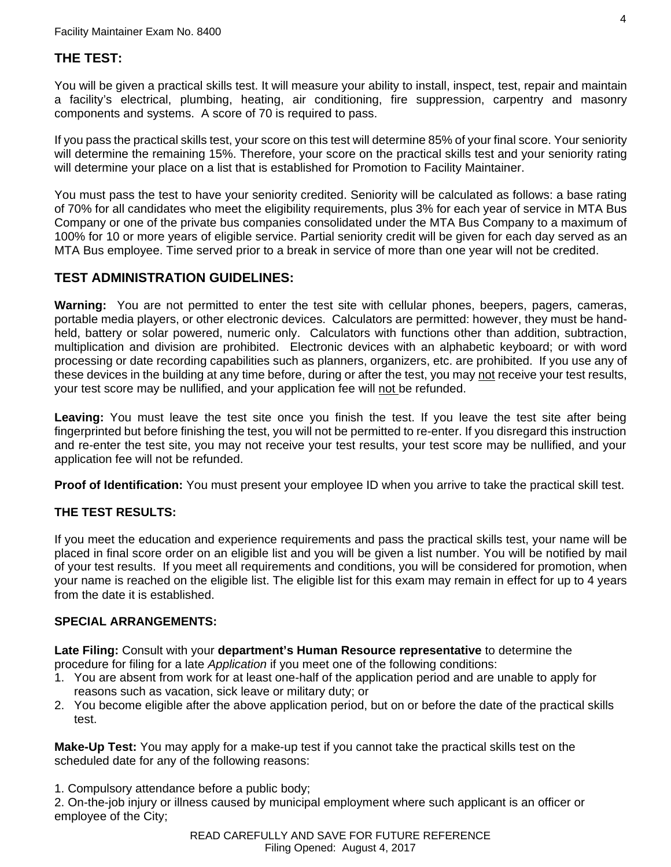# **THE TEST:**

You will be given a practical skills test. It will measure your ability to install, inspect, test, repair and maintain a facility's electrical, plumbing, heating, air conditioning, fire suppression, carpentry and masonry components and systems. A score of 70 is required to pass.

If you pass the practical skills test, your score on this test will determine 85% of your final score. Your seniority will determine the remaining 15%. Therefore, your score on the practical skills test and your seniority rating will determine your place on a list that is established for Promotion to Facility Maintainer.

You must pass the test to have your seniority credited. Seniority will be calculated as follows: a base rating of 70% for all candidates who meet the eligibility requirements, plus 3% for each year of service in MTA Bus Company or one of the private bus companies consolidated under the MTA Bus Company to a maximum of 100% for 10 or more years of eligible service. Partial seniority credit will be given for each day served as an MTA Bus employee. Time served prior to a break in service of more than one year will not be credited.

# **TEST ADMINISTRATION GUIDELINES:**

**Warning:** You are not permitted to enter the test site with cellular phones, beepers, pagers, cameras, portable media players, or other electronic devices. Calculators are permitted: however, they must be handheld, battery or solar powered, numeric only. Calculators with functions other than addition, subtraction, multiplication and division are prohibited. Electronic devices with an alphabetic keyboard; or with word processing or date recording capabilities such as planners, organizers, etc. are prohibited. If you use any of these devices in the building at any time before, during or after the test, you may not receive your test results, your test score may be nullified, and your application fee will not be refunded.

Leaving: You must leave the test site once you finish the test. If you leave the test site after being fingerprinted but before finishing the test, you will not be permitted to re-enter. If you disregard this instruction and re-enter the test site, you may not receive your test results, your test score may be nullified, and your application fee will not be refunded.

**Proof of Identification:** You must present your employee ID when you arrive to take the practical skill test.

# **THE TEST RESULTS:**

If you meet the education and experience requirements and pass the practical skills test, your name will be placed in final score order on an eligible list and you will be given a list number. You will be notified by mail of your test results. If you meet all requirements and conditions, you will be considered for promotion, when your name is reached on the eligible list. The eligible list for this exam may remain in effect for up to 4 years from the date it is established.

#### **SPECIAL ARRANGEMENTS:**

**Late Filing:** Consult with your **department's Human Resource representative** to determine the procedure for filing for a late *Application* if you meet one of the following conditions:

- 1. You are absent from work for at least one-half of the application period and are unable to apply for reasons such as vacation, sick leave or military duty; or
- 2. You become eligible after the above application period, but on or before the date of the practical skills test.

**Make-Up Test:** You may apply for a make-up test if you cannot take the practical skills test on the scheduled date for any of the following reasons:

1. Compulsory attendance before a public body;

2. On-the-job injury or illness caused by municipal employment where such applicant is an officer or employee of the City;

> READ CAREFULLY AND SAVE FOR FUTURE REFERENCE Filing Opened: August 4, 2017